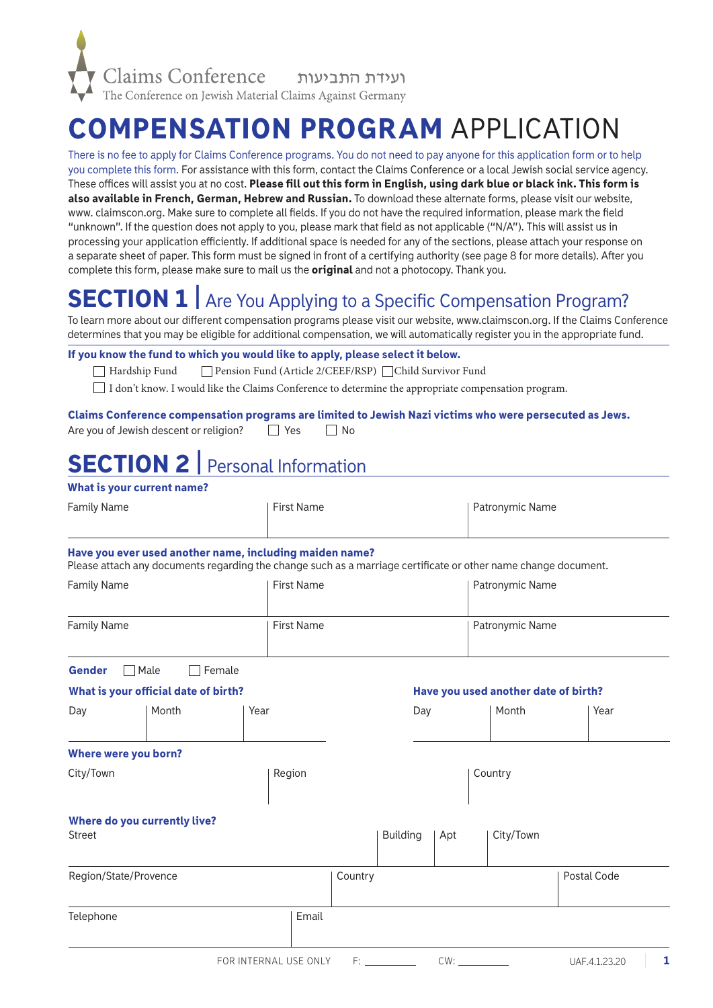

# COMPENSATION PROGRAM APPLICATION

There is no fee to apply for Claims Conference programs. You do not need to pay anyone for this application form or to help you complete this form. For assistance with this form, contact the Claims Conference or a local Jewish social service agency. These offices will assist you at no cost. Please fill out this form in English, using dark blue or black ink. This form is also available in French, German, Hebrew and Russian. To download these alternate forms, please visit our website, www. claimscon.org. Make sure to complete all fields. If you do not have the required information, please mark the field "unknown". If the question does not apply to you, please mark that field as not applicable ("N/A"). This will assist us in processing your application efficiently. If additional space is needed for any of the sections, please attach your response on a separate sheet of paper. This form must be signed in front of a certifying authority (see page 8 for more details). After you complete this form, please make sure to mail us the **original** and not a photocopy. Thank you.

# SECTION 1 | Are You Applying to a Specific Compensation Program?

To learn more about our different compensation programs please visit our website, www.claimscon.org. If the Claims Conference determines that you may be eligible for additional compensation, we will automatically register you in the appropriate fund.

#### If you know the fund to which you would like to apply, please select it below.

Hardship Fund Pension Fund (Article 2/CEEF/RSP) Child Survivor Fund

I don't know. I would like the Claims Conference to determine the appropriate compensation program.

#### Claims Conference compensation programs are limited to Jewish Nazi victims who were persecuted as Jews.

| Are you of Jewish descent or religion? |  | $\Box$ Yes | $\Box$ No |
|----------------------------------------|--|------------|-----------|
|                                        |  |            |           |

# SECTION 2 | Personal Information

#### What is your current name?

| Family Name | First Name | Patronymic Name |
|-------------|------------|-----------------|
|             |            |                 |

#### Have you ever used another name, including maiden name?

Please attach any documents regarding the change such as a marriage certificate or other name change document.

| <b>Family Name</b> | First Name | Patronymic Name |
|--------------------|------------|-----------------|
| <b>Family Name</b> | First Name | Patronymic Name |

| <b>Gender</b>         | Male                                 | Female |        |         |                 |     |                                      |             |
|-----------------------|--------------------------------------|--------|--------|---------|-----------------|-----|--------------------------------------|-------------|
|                       | What is your official date of birth? |        |        |         |                 |     | Have you used another date of birth? |             |
| Day                   | Month                                | Year   |        |         | Day             |     | Month                                | Year        |
| Where were you born?  |                                      |        |        |         |                 |     |                                      |             |
| City/Town             |                                      |        | Region |         |                 |     | Country                              |             |
| <b>Street</b>         | Where do you currently live?         |        |        |         | <b>Building</b> | Apt | City/Town                            |             |
| Region/State/Provence |                                      |        |        | Country |                 |     |                                      | Postal Code |
| Telephone             |                                      |        | Email  |         |                 |     |                                      |             |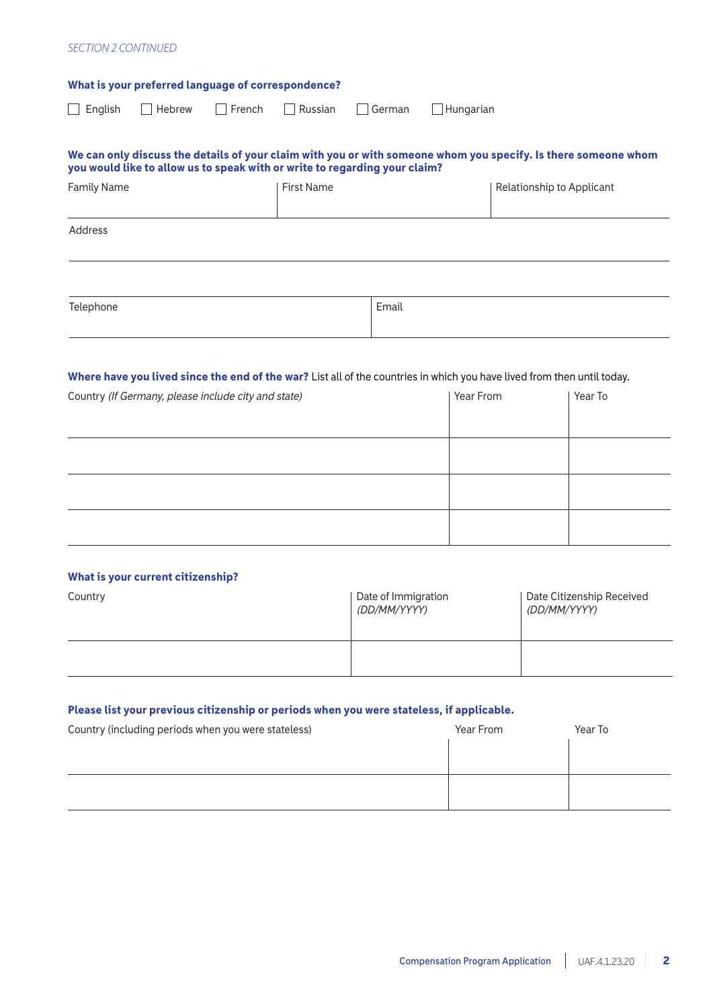#### *SECTION 2 CONTINUED*

| What is your preferred language of correspondence?                                                                                                                                           |                   |        |           |                           |
|----------------------------------------------------------------------------------------------------------------------------------------------------------------------------------------------|-------------------|--------|-----------|---------------------------|
| $\sqsupset$ French<br>Hebrew<br>$\Box$ English                                                                                                                                               | Russian           | German | Hungarian |                           |
| We can only discuss the details of your claim with you or with someone whom you specify. Is there someone whom<br>you would like to allow us to speak with or write to regarding your claim? |                   |        |           |                           |
| <b>Family Name</b>                                                                                                                                                                           | <b>First Name</b> |        |           | Relationship to Applicant |
| Address                                                                                                                                                                                      |                   |        |           |                           |
| Telephone                                                                                                                                                                                    |                   | Email  |           |                           |
| Where have you lived since the end of the war? List all of the countries in which you have lived from then until today.<br>Country (If Germany, please include city and state)               |                   |        | Year From | Year To                   |
|                                                                                                                                                                                              |                   |        |           |                           |

|  | What is your current citizenship? |  |
|--|-----------------------------------|--|

| Country | Date of Immigration<br>(DD/MM/YYYY) | Date Citizenship Received<br>(DD/MM/YYYY) |
|---------|-------------------------------------|-------------------------------------------|
|         |                                     |                                           |

### Please list your previous citizenship or periods when you were stateless, if applicable.

| Country (including periods when you were stateless) | Year From | Year To |
|-----------------------------------------------------|-----------|---------|
|                                                     |           |         |
|                                                     |           |         |
|                                                     |           |         |
|                                                     |           |         |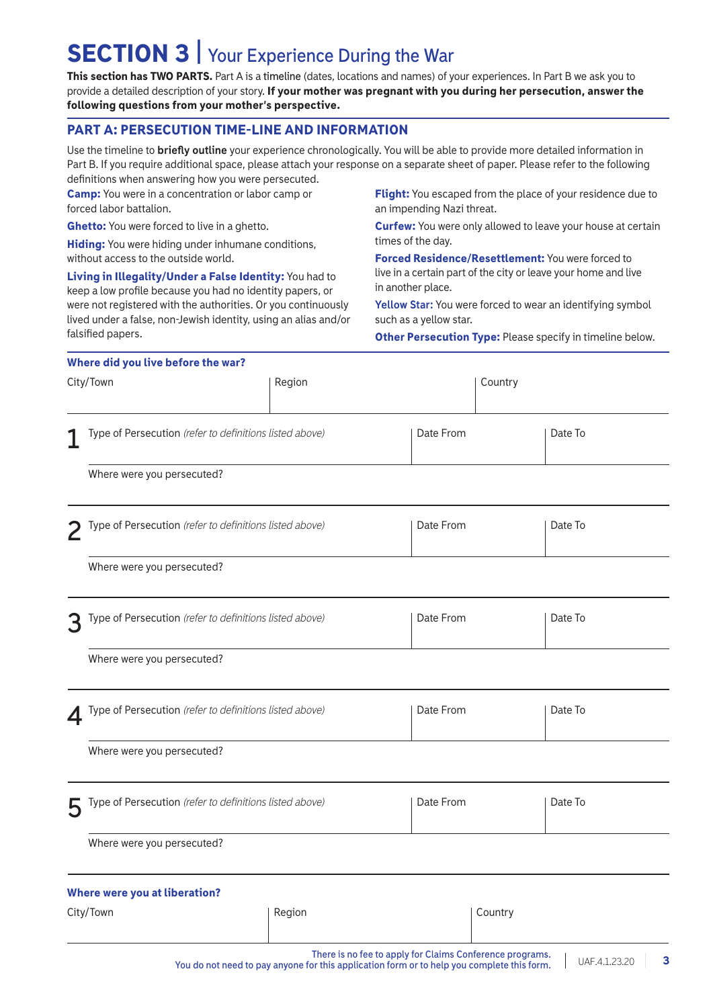# SECTION 3 | **Your Experience During the War**

This section has TWO PARTS. Part A is a **timeline** (dates, locations and names) of your experiences. In Part B we ask you to provide a detailed description of your story. If your mother was pregnant with you during her persecution, answer the following questions from your mother's perspective.

### PART A: PERSECUTION TIME-LINE AND INFORMATION

Use the timeline to **briefly outline** your experience chronologically. You will be able to provide more detailed information in Part B. If you require additional space, please attach your response on a separate sheet of paper. Please refer to the following definitions when answering how you were persecuted.

Camp: You were in a concentration or labor camp or forced labor battalion.

Ghetto: You were forced to live in a ghetto.

**Hiding:** You were hiding under inhumane conditions, without access to the outside world.

Living in Illegality/Under a False Identity: You had to keep a low profile because you had no identity papers, or were not registered with the authorities. Or you continuously lived under a false, non-Jewish identity, using an alias and/or falsified papers.

Flight: You escaped from the place of your residence due to an impending Nazi threat.

Curfew: You were only allowed to leave your house at certain times of the day.

Forced Residence/Resettlement: You were forced to live in a certain part of the city or leave your home and live in another place.

**Yellow Star:** You were forced to wear an identifying symbol such as a yellow star.

Other Persecution Type: Please specify in timeline below.

|   | Where did you live before the war?                      |                                                                                            |                                                          |                    |
|---|---------------------------------------------------------|--------------------------------------------------------------------------------------------|----------------------------------------------------------|--------------------|
|   | City/Town                                               | Region                                                                                     |                                                          | Country            |
| 1 | Type of Persecution (refer to definitions listed above) |                                                                                            | Date From                                                | Date To            |
|   | Where were you persecuted?                              |                                                                                            |                                                          |                    |
| 2 | Type of Persecution (refer to definitions listed above) |                                                                                            | Date From                                                | Date To            |
|   | Where were you persecuted?                              |                                                                                            |                                                          |                    |
| 3 | Type of Persecution (refer to definitions listed above) |                                                                                            | Date From                                                | Date To            |
|   | Where were you persecuted?                              |                                                                                            |                                                          |                    |
| 4 | Type of Persecution (refer to definitions listed above) |                                                                                            | Date From                                                | Date To            |
|   | Where were you persecuted?                              |                                                                                            |                                                          |                    |
| 5 | Type of Persecution (refer to definitions listed above) |                                                                                            | Date From                                                | Date To            |
|   | Where were you persecuted?                              |                                                                                            |                                                          |                    |
|   | Where were you at liberation?                           |                                                                                            |                                                          |                    |
|   | City/Town                                               | Region                                                                                     |                                                          | Country            |
|   |                                                         | You do not need to pay anyone for this application form or to help you complete this form. | There is no fee to apply for Claims Conference programs. | UAF.4.1.23.20<br>3 |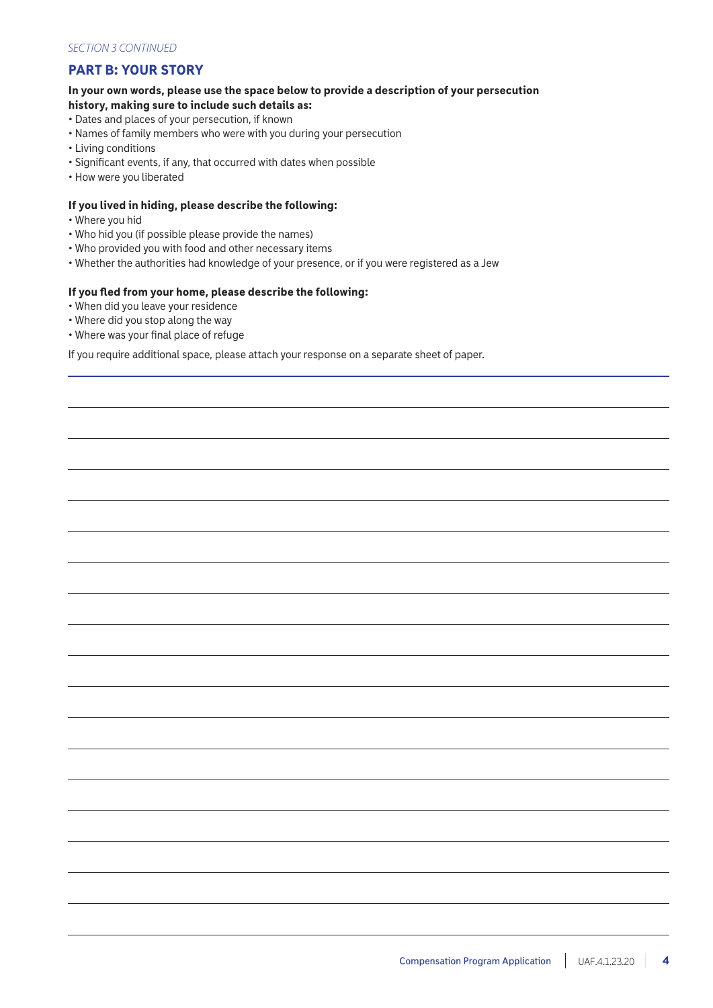### PART B: YOUR STORY

#### In your own words, please use the space below to provide a description of your persecution history, making sure to include such details as:

- Dates and places of your persecution, if known
- Names of family members who were with you during your persecution
- Living conditions
- Significant events, if any, that occurred with dates when possible
- How were you liberated

#### If you lived in hiding, please describe the following:

- Where you hid
- Who hid you (if possible please provide the names)
- Who provided you with food and other necessary items
- Whether the authorities had knowledge of your presence, or if you were registered as a Jew

#### If you fled from your home, please describe the following:

- When did you leave your residence
- Where did you stop along the way
- Where was your final place of refuge

If you require additional space, please attach your response on a separate sheet of paper.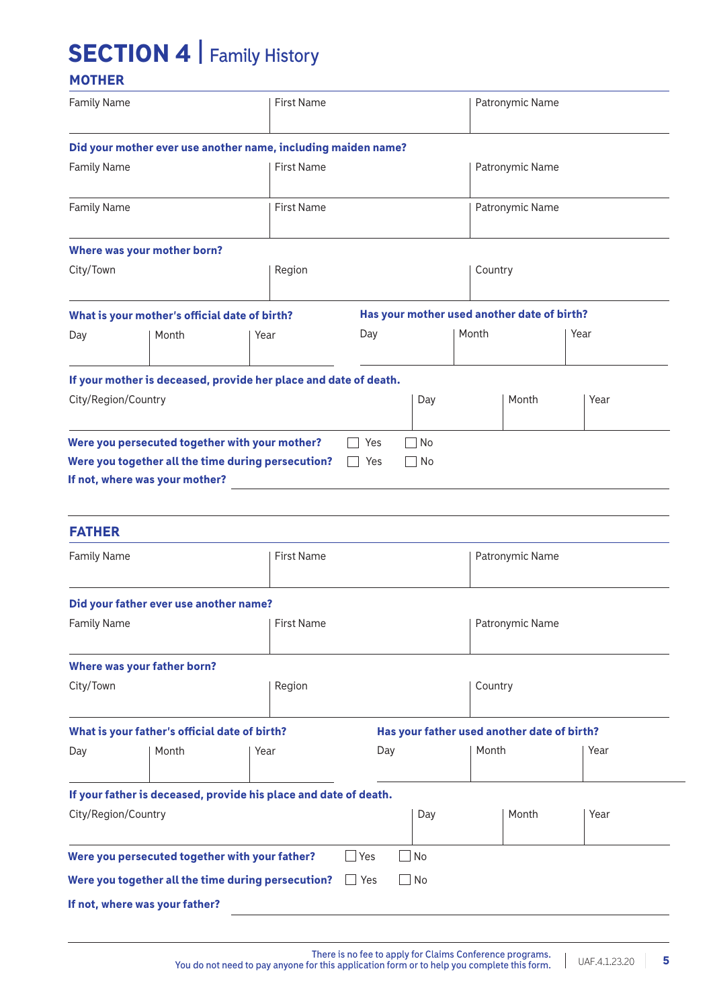# SECTION 4 | **Family History**

## **MOTHER**

| <b>Family Name</b>           |                                                                  |      | <b>First Name</b> |            |           |         | Patronymic Name                             |      |  |
|------------------------------|------------------------------------------------------------------|------|-------------------|------------|-----------|---------|---------------------------------------------|------|--|
|                              | Did your mother ever use another name, including maiden name?    |      |                   |            |           |         |                                             |      |  |
| <b>Family Name</b>           |                                                                  |      | <b>First Name</b> |            |           |         | Patronymic Name                             |      |  |
| <b>Family Name</b>           |                                                                  |      | <b>First Name</b> |            |           |         | Patronymic Name                             |      |  |
|                              | Where was your mother born?                                      |      |                   |            |           |         |                                             |      |  |
| City/Town                    |                                                                  |      | Region            |            |           | Country |                                             |      |  |
|                              | What is your mother's official date of birth?                    |      |                   |            |           |         | Has your mother used another date of birth? |      |  |
| Day                          | Month                                                            | Year |                   | Day        |           | Month   |                                             | Year |  |
|                              | If your mother is deceased, provide her place and date of death. |      |                   |            |           |         |                                             |      |  |
| City/Region/Country          |                                                                  |      |                   |            | Day       |         | Month                                       | Year |  |
| <b>FATHER</b><br>Family Name |                                                                  |      | <b>First Name</b> |            |           |         | Patronymic Name                             |      |  |
|                              |                                                                  |      |                   |            |           |         |                                             |      |  |
| <b>Family Name</b>           | Did your father ever use another name?                           |      | First Name        |            |           |         | <b>Patronymic Name</b>                      |      |  |
|                              | Where was your father born?                                      |      |                   |            |           |         |                                             |      |  |
| City/Town                    |                                                                  |      | Region            |            |           |         | Country                                     |      |  |
|                              | What is your father's official date of birth?                    |      |                   |            |           |         | Has your father used another date of birth? |      |  |
| Day                          | Month                                                            | Year |                   | Day        |           | Month   |                                             | Year |  |
|                              | If your father is deceased, provide his place and date of death. |      |                   |            |           |         |                                             |      |  |
| City/Region/Country          |                                                                  |      |                   |            | Day       |         | Month                                       | Year |  |
|                              | Were you persecuted together with your father?                   |      |                   | $\Box$ Yes | $\Box$ No |         |                                             |      |  |
|                              | Were you together all the time during persecution?               |      |                   | $\Box$ Yes | $\Box$ No |         |                                             |      |  |
|                              | If not, where was your father?                                   |      |                   |            |           |         |                                             |      |  |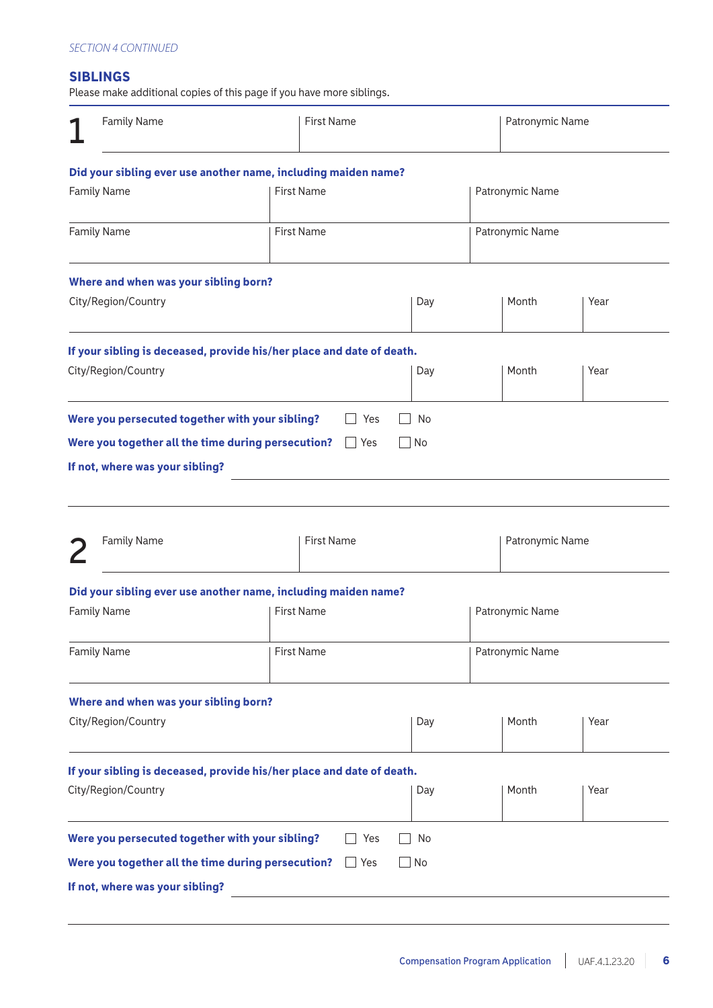### SIBLINGS

Please make additional copies of this page if you have more siblings.

| <b>Family Name</b><br><b>First Name</b>                                                                              |                                                                                                                                                     |  | Patronymic Name   |  |                 |                 |                 |      |
|----------------------------------------------------------------------------------------------------------------------|-----------------------------------------------------------------------------------------------------------------------------------------------------|--|-------------------|--|-----------------|-----------------|-----------------|------|
|                                                                                                                      | Did your sibling ever use another name, including maiden name?                                                                                      |  |                   |  |                 |                 |                 |      |
|                                                                                                                      | <b>Family Name</b>                                                                                                                                  |  | <b>First Name</b> |  |                 |                 | Patronymic Name |      |
|                                                                                                                      | <b>Family Name</b>                                                                                                                                  |  | <b>First Name</b> |  |                 |                 | Patronymic Name |      |
|                                                                                                                      | Where and when was your sibling born?                                                                                                               |  |                   |  |                 |                 |                 |      |
|                                                                                                                      | City/Region/Country                                                                                                                                 |  |                   |  | Day             |                 | Month           | Year |
|                                                                                                                      | If your sibling is deceased, provide his/her place and date of death.<br>City/Region/Country                                                        |  |                   |  | Day             |                 | Month           | Year |
|                                                                                                                      | Were you persecuted together with your sibling?<br>Were you together all the time during persecution? $\Box$ Yes<br>If not, where was your sibling? |  | Yes               |  | No<br>l INo     |                 |                 |      |
|                                                                                                                      | <b>Family Name</b>                                                                                                                                  |  | <b>First Name</b> |  |                 |                 | Patronymic Name |      |
|                                                                                                                      | Did your sibling ever use another name, including maiden name?                                                                                      |  |                   |  |                 |                 |                 |      |
|                                                                                                                      | <b>Family Name</b>                                                                                                                                  |  | <b>First Name</b> |  | Patronymic Name |                 |                 |      |
|                                                                                                                      | <b>Family Name</b>                                                                                                                                  |  | <b>First Name</b> |  |                 | Patronymic Name |                 |      |
| Where and when was your sibling born?<br>City/Region/Country<br>Month<br>Day<br>Year                                 |                                                                                                                                                     |  |                   |  |                 |                 |                 |      |
| If your sibling is deceased, provide his/her place and date of death.<br>City/Region/Country<br>Month<br>Year<br>Day |                                                                                                                                                     |  |                   |  |                 |                 |                 |      |
|                                                                                                                      | Were you persecuted together with your sibling?                                                                                                     |  | Yes               |  | No              |                 |                 |      |
|                                                                                                                      | Were you together all the time during persecution?                                                                                                  |  | $\Box$ Yes        |  | No              |                 |                 |      |
|                                                                                                                      | If not, where was your sibling?                                                                                                                     |  |                   |  |                 |                 |                 |      |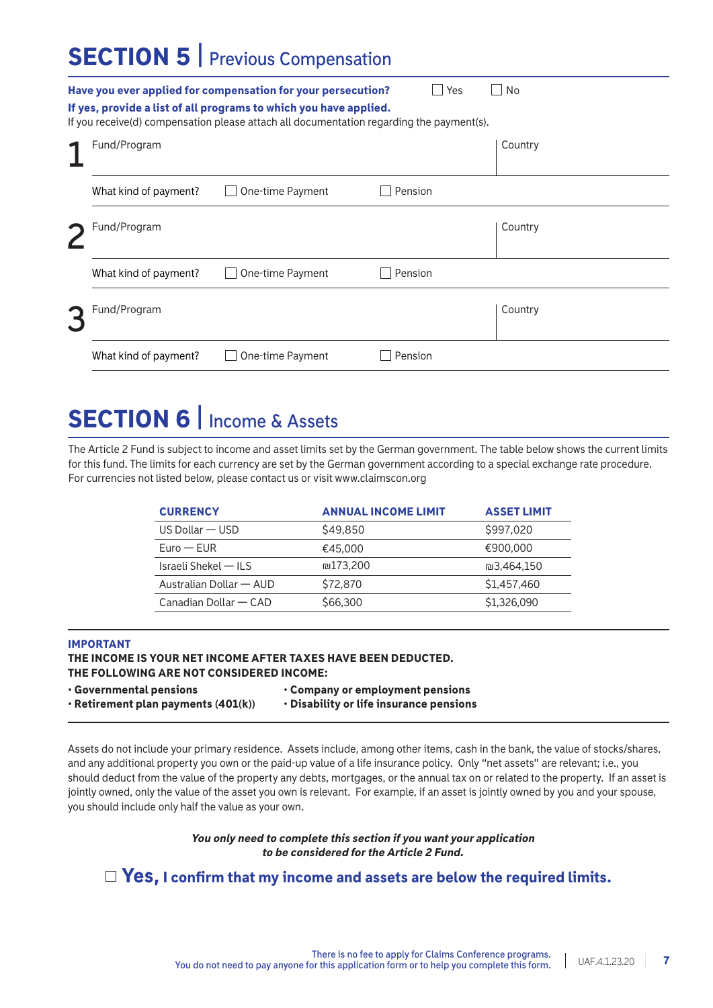# SECTION 5 | **Previous Compensation**

|                       | Have you ever applied for compensation for your persecution?<br>If yes, provide a list of all programs to which you have applied.<br>If you receive(d) compensation please attach all documentation regarding the payment(s). | Yes     | No      |
|-----------------------|-------------------------------------------------------------------------------------------------------------------------------------------------------------------------------------------------------------------------------|---------|---------|
| Fund/Program          |                                                                                                                                                                                                                               |         | Country |
| What kind of payment? | One-time Payment                                                                                                                                                                                                              | Pension |         |
| Fund/Program          |                                                                                                                                                                                                                               |         | Country |
| What kind of payment? | One-time Payment                                                                                                                                                                                                              | Pension |         |
| Fund/Program          |                                                                                                                                                                                                                               |         | Country |
| What kind of payment? | One-time Payment                                                                                                                                                                                                              | Pension |         |

# SECTION 6 | **Income & Assets**

The Article 2 Fund is subject to income and asset limits set by the German government. The table below shows the current limits for this fund. The limits for each currency are set by the German government according to a special exchange rate procedure. For currencies not listed below, please contact us or visit www.claimscon.org

| <b>CURRENCY</b>         | <b>ANNUAL INCOME LIMIT</b> | <b>ASSET LIMIT</b> |
|-------------------------|----------------------------|--------------------|
| $US$ Dollar $-$ USD     | \$49,850                   | \$997,020          |
| $Func - FUR$            | €45,000                    | €900.000           |
| Israeli Shekel — ILS    | ₪173.200                   | ₪3.464.150         |
| Australian Dollar - AUD | \$72,870                   | \$1,457,460        |
| Canadian Dollar — CAD   | \$66,300                   | \$1,326,090        |

#### IMPORTANT

### THE INCOME IS YOUR NET INCOME AFTER TAXES HAVE BEEN DEDUCTED.

THE FOLLOWING ARE NOT CONSIDERED INCOME:

| $\cdot$ Governmental pensions             | Company or employment pensions          |
|-------------------------------------------|-----------------------------------------|
| $\cdot$ Retirement plan payments (401(k)) | • Disability or life insurance pensions |

Assets do not include your primary residence. Assets include, among other items, cash in the bank, the value of stocks/shares, and any additional property you own or the paid-up value of a life insurance policy. Only "net assets" are relevant; i.e., you should deduct from the value of the property any debts, mortgages, or the annual tax on or related to the property. If an asset is jointly owned, only the value of the asset you own is relevant. For example, if an asset is jointly owned by you and your spouse, you should include only half the value as your own.

#### *You only need to complete this section if you want your application to be considered for the Article 2 Fund.*

### $\Box$  Yes, I confirm that my income and assets are below the required limits.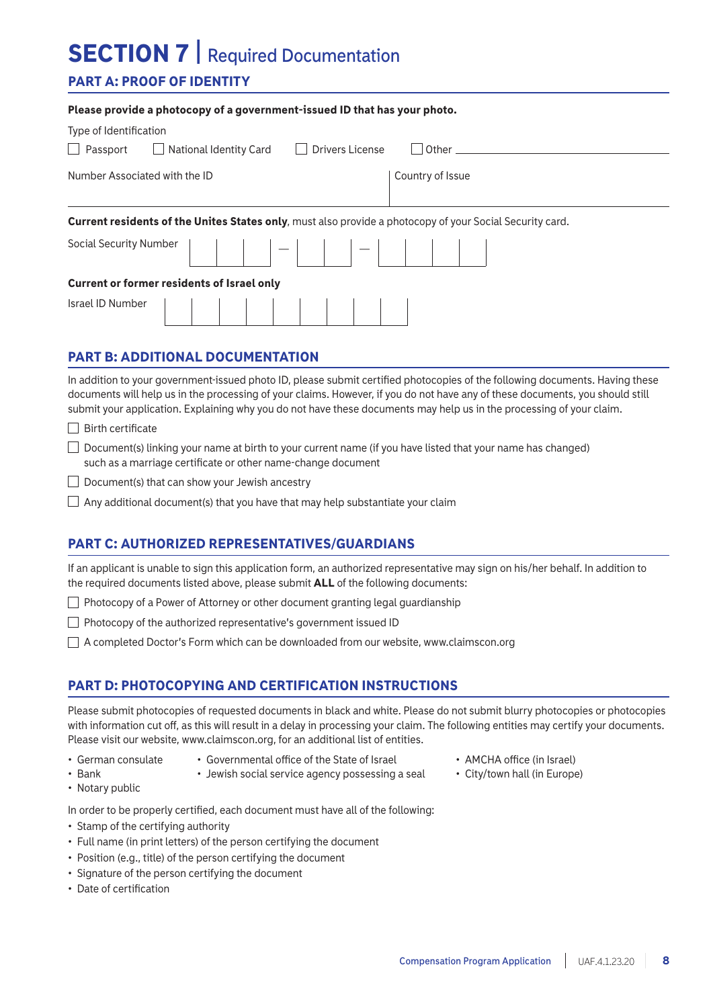# SECTION 7 | **Required Documentation**

Please provide a photocopy of a government-issued ID that has your photo.

### PART A: PROOF OF IDENTITY

| Prease provide a priotocopy or a government-issued ib that has your prioto.                                                                                                                                                             |                                                                                                                                                                                                                                |  |  |  |
|-----------------------------------------------------------------------------------------------------------------------------------------------------------------------------------------------------------------------------------------|--------------------------------------------------------------------------------------------------------------------------------------------------------------------------------------------------------------------------------|--|--|--|
| Type of Identification                                                                                                                                                                                                                  |                                                                                                                                                                                                                                |  |  |  |
| National Identity Card<br><b>Drivers License</b><br>$\Box$ Passport<br>$\perp$                                                                                                                                                          | l l Other the control of the control of the control of the control of the control of the control of the control of the control of the control of the control of the control of the control of the control of the control of th |  |  |  |
| Number Associated with the ID                                                                                                                                                                                                           | Country of Issue                                                                                                                                                                                                               |  |  |  |
| Current residents of the Unites States only, must also provide a photocopy of your Social Security card.                                                                                                                                |                                                                                                                                                                                                                                |  |  |  |
| Social Security Number $\begin{vmatrix} \cdot & \cdot & \cdot \\ \cdot & \cdot & \cdot \\ \cdot & \cdot & \cdot \end{vmatrix}$ $ \begin{vmatrix} \cdot & \cdot & \cdot \\ \cdot & \cdot & \cdot \\ \cdot & \cdot & \cdot \end{vmatrix}$ |                                                                                                                                                                                                                                |  |  |  |
| <b>Current or former residents of Israel only</b>                                                                                                                                                                                       |                                                                                                                                                                                                                                |  |  |  |
|                                                                                                                                                                                                                                         |                                                                                                                                                                                                                                |  |  |  |

### PART B: ADDITIONAL DOCUMENTATION

In addition to your government-issued photo ID, please submit certified photocopies of the following documents. Having these documents will help us in the processing of your claims. However, if you do not have any of these documents, you should still submit your application. Explaining why you do not have these documents may help us in the processing of your claim.

- $\Box$  Birth certificate
- $\Box$  Document(s) linking your name at birth to your current name (if you have listed that your name has changed) such as a marriage certificate or other name-change document

 $\Box$  Document(s) that can show your Jewish ancestry

 $\Box$  Any additional document(s) that you have that may help substantiate your claim

### PART C: AUTHORIZED REPRESENTATIVES/GUARDIANS

If an applicant is unable to sign this application form, an authorized representative may sign on his/her behalf. In addition to the required documents listed above, please submit ALL of the following documents:

 $\Box$  Photocopy of a Power of Attorney or other document granting legal guardianship

 $\Box$  Photocopy of the authorized representative's government issued ID

A completed Doctor's Form which can be downloaded from our website, www.claimscon.org

### PART D: PHOTOCOPYING AND CERTIFICATION INSTRUCTIONS

Please submit photocopies of requested documents in black and white. Please do not submit blurry photocopies or photocopies with information cut off, as this will result in a delay in processing your claim. The following entities may certify your documents. Please visit our website, www.claimscon.org, for an additional list of entities.

- 
- German consulate Governmental office of the State of Israel AMCHA office (in Israel)
	-
- Bank Jewish social service agency possessing a seal City/town hall (in Europe)
- Notary public

In order to be properly certified, each document must have all of the following:

- Stamp of the certifying authority
- Full name (in print letters) of the person certifying the document
- Position (e.g., title) of the person certifying the document
- Signature of the person certifying the document
- Date of certification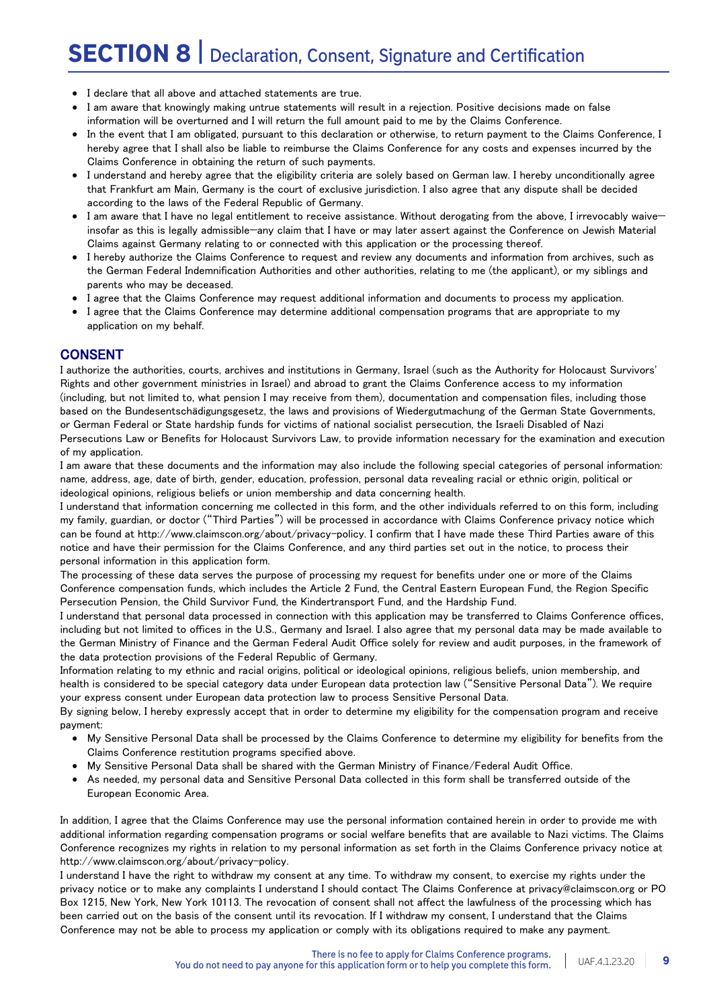# SECTION 8 | **Declaration, Consent, Signature and Certification**

- I declare that all above and attached statements are true.
- I am aware that knowingly making untrue statements will result in a rejection. Positive decisions made on false information will be overturned and I will return the full amount paid to me by the Claims Conference.
- In the event that I am obligated, pursuant to this declaration or otherwise, to return payment to the Claims Conference, I hereby agree that I shall also be liable to reimburse the Claims Conference for any costs and expenses incurred by the Claims Conference in obtaining the return of such payments.
- I understand and hereby agree that the eligibility criteria are solely based on German law. I hereby unconditionally agree that Frankfurt am Main, Germany is the court of exclusive jurisdiction. I also agree that any dispute shall be decided according to the laws of the Federal Republic of Germany.
- I am aware that I have no legal entitlement to receive assistance. Without derogating from the above, I irrevocably waive insofar as this is legally admissible—any claim that I have or may later assert against the Conference on Jewish Material Claims against Germany relating to or connected with this application or the processing thereof.
- I hereby authorize the Claims Conference to request and review any documents and information from archives, such as the German Federal Indemnification Authorities and other authorities, relating to me (the applicant), or my siblings and parents who may be deceased.
- I agree that the Claims Conference may request additional information and documents to process my application.
- I agree that the Claims Conference may determine additional compensation programs that are appropriate to my application on my behalf.

### **CONSENT**

I authorize the authorities, courts, archives and institutions in Germany, Israel (such as the Authority for Holocaust Survivors' Rights and other government ministries in Israel) and abroad to grant the Claims Conference access to my information (including, but not limited to, what pension I may receive from them), documentation and compensation files, including those based on the Bundesentschädigungsgesetz, the laws and provisions of Wiedergutmachung of the German State Governments, or German Federal or State hardship funds for victims of national socialist persecution, the Israeli Disabled of Nazi Persecutions Law or Benefits for Holocaust Survivors Law, to provide information necessary for the examination and execution of my application.

I am aware that these documents and the information may also include the following special categories of personal information: name, address, age, date of birth, gender, education, profession, personal data revealing racial or ethnic origin, political or ideological opinions, religious beliefs or union membership and data concerning health.

I understand that information concerning me collected in this form, and the other individuals referred to on this form, including my family, guardian, or doctor ("Third Parties") will be processed in accordance with Claims Conference privacy notice which can be found at http://www.claimscon.org/about/privacy-policy. I confirm that I have made these Third Parties aware of this notice and have their permission for the Claims Conference, and any third parties set out in the notice, to process their personal information in this application form.

The processing of these data serves the purpose of processing my request for benefits under one or more of the Claims Conference compensation funds, which includes the Article 2 Fund, the Central Eastern European Fund, the Region Specific Persecution Pension, the Child Survivor Fund, the Kindertransport Fund, and the Hardship Fund.

I understand that personal data processed in connection with this application may be transferred to Claims Conference offices, including but not limited to offices in the U.S., Germany and Israel. I also agree that my personal data may be made available to the German Ministry of Finance and the German Federal Audit Office solely for review and audit purposes, in the framework of the data protection provisions of the Federal Republic of Germany.

Information relating to my ethnic and racial origins, political or ideological opinions, religious beliefs, union membership, and health is considered to be special category data under European data protection law ("Sensitive Personal Data"). We require your express consent under European data protection law to process Sensitive Personal Data.

By signing below, I hereby expressly accept that in order to determine my eligibility for the compensation program and receive payment:

- My Sensitive Personal Data shall be processed by the Claims Conference to determine my eligibility for benefits from the Claims Conference restitution programs specified above.
- My Sensitive Personal Data shall be shared with the German Ministry of Finance/Federal Audit Office.
- As needed, my personal data and Sensitive Personal Data collected in this form shall be transferred outside of the European Economic Area.

In addition, I agree that the Claims Conference may use the personal information contained herein in order to provide me with additional information regarding compensation programs or social welfare benefits that are available to Nazi victims. The Claims Conference recognizes my rights in relation to my personal information as set forth in the Claims Conference privacy notice at http://www.claimscon.org/about/privacy-policy.

I understand I have the right to withdraw my consent at any time. To withdraw my consent, to exercise my rights under the privacy notice or to make any complaints I understand I should contact The Claims Conference at privacy@claimscon.org or PO Box 1215, New York, New York 10113. The revocation of consent shall not affect the lawfulness of the processing which has been carried out on the basis of the consent until its revocation. If I withdraw my consent, I understand that the Claims Conference may not be able to process my application or comply with its obligations required to make any payment.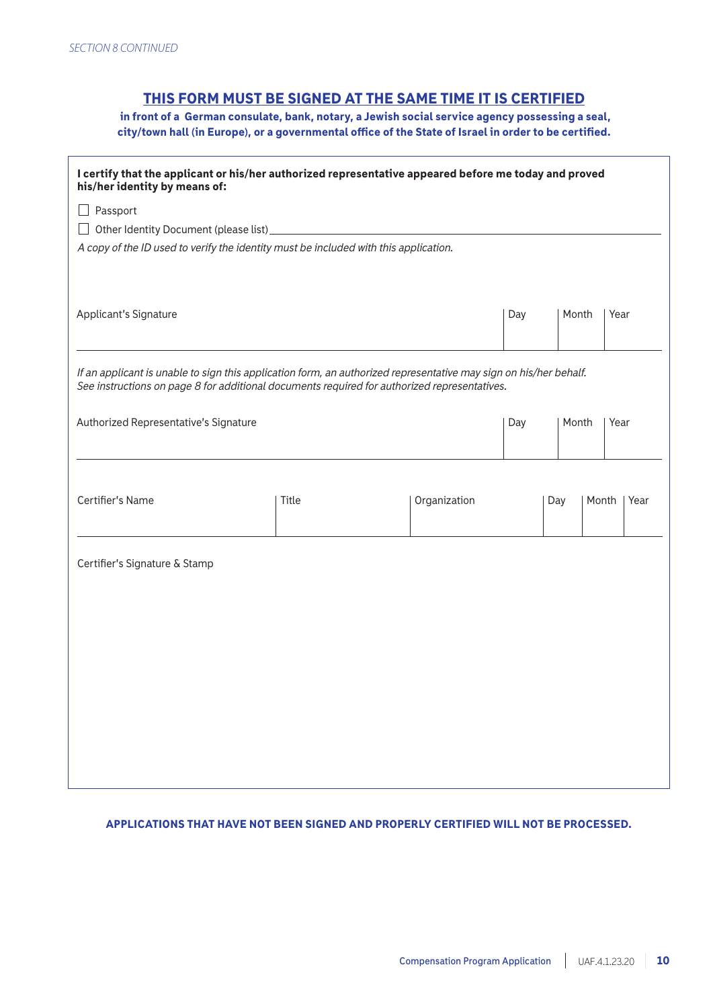### THIS FORM MUST BE SIGNED AT THE SAME TIME IT IS CERTIFIED

 in front of a German consulate, bank, notary, a Jewish social service agency possessing a seal, city/town hall (in Europe), or a governmental office of the State of Israel in order to be certified.

| I certify that the applicant or his/her authorized representative appeared before me today and proved<br>his/her identity by means of:                                                                            |                                     |  |       |      |       |      |  |
|-------------------------------------------------------------------------------------------------------------------------------------------------------------------------------------------------------------------|-------------------------------------|--|-------|------|-------|------|--|
| Passport                                                                                                                                                                                                          |                                     |  |       |      |       |      |  |
|                                                                                                                                                                                                                   |                                     |  |       |      |       |      |  |
| A copy of the ID used to verify the identity must be included with this application.                                                                                                                              |                                     |  |       |      |       |      |  |
| Applicant's Signature                                                                                                                                                                                             |                                     |  | Day   |      | Month | Year |  |
| If an applicant is unable to sign this application form, an authorized representative may sign on his/her behalf.<br>See instructions on page 8 for additional documents required for authorized representatives. |                                     |  |       |      |       |      |  |
| Authorized Representative's Signature                                                                                                                                                                             |                                     |  | Day   |      | Month | Year |  |
|                                                                                                                                                                                                                   |                                     |  |       |      |       |      |  |
|                                                                                                                                                                                                                   |                                     |  |       |      |       |      |  |
|                                                                                                                                                                                                                   |                                     |  |       |      |       |      |  |
| Certifier's Name                                                                                                                                                                                                  | <b>Title</b><br>Organization<br>Day |  | Month | Year |       |      |  |
|                                                                                                                                                                                                                   |                                     |  |       |      |       |      |  |
| Certifier's Signature & Stamp                                                                                                                                                                                     |                                     |  |       |      |       |      |  |
|                                                                                                                                                                                                                   |                                     |  |       |      |       |      |  |
|                                                                                                                                                                                                                   |                                     |  |       |      |       |      |  |
|                                                                                                                                                                                                                   |                                     |  |       |      |       |      |  |
|                                                                                                                                                                                                                   |                                     |  |       |      |       |      |  |
|                                                                                                                                                                                                                   |                                     |  |       |      |       |      |  |
|                                                                                                                                                                                                                   |                                     |  |       |      |       |      |  |
|                                                                                                                                                                                                                   |                                     |  |       |      |       |      |  |
|                                                                                                                                                                                                                   |                                     |  |       |      |       |      |  |
|                                                                                                                                                                                                                   |                                     |  |       |      |       |      |  |

### APPLICATIONS THAT HAVE NOT BEEN SIGNED AND PROPERLY CERTIFIED WILL NOT BE PROCESSED.